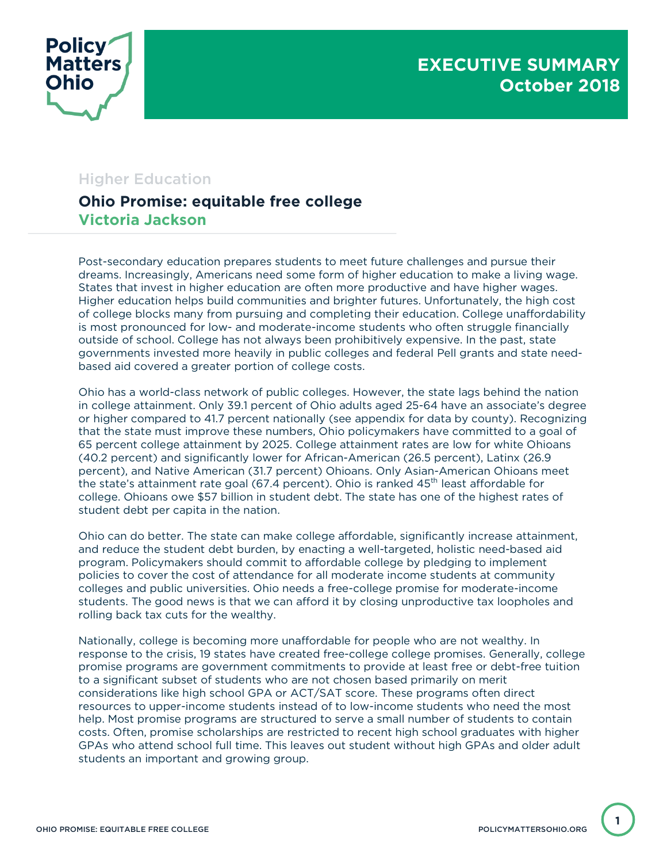



## Higher Education

## **Ohio Promise: equitable free college Victoria Jackson**

Post-secondary education prepares students to meet future challenges and pursue their dreams. Increasingly, Americans need some form of higher education to make a living wage. States that invest in higher education are often more productive and have higher wages. Higher education helps build communities and brighter futures. Unfortunately, the high cost of college blocks many from pursuing and completing their education. College unaffordability is most pronounced for low- and moderate-income students who often struggle financially outside of school. College has not always been prohibitively expensive. In the past, state governments invested more heavily in public colleges and federal Pell grants and state needbased aid covered a greater portion of college costs.

Ohio has a world-class network of public colleges. However, the state lags behind the nation in college attainment. Only 39.1 percent of Ohio adults aged 25-64 have an associate's degree or higher compared to 41.7 percent nationally (see appendix for data by county). Recognizing that the state must improve these numbers, Ohio policymakers have committed to a goal of 65 percent college attainment by 2025. College attainment rates are low for white Ohioans (40.2 percent) and significantly lower for African-American (26.5 percent), Latinx (26.9 percent), and Native American (31.7 percent) Ohioans. Only Asian-American Ohioans meet the state's attainment rate goal (67.4 percent). Ohio is ranked  $45<sup>th</sup>$  least affordable for college. Ohioans owe \$57 billion in student debt. The state has one of the highest rates of student debt per capita in the nation.

Ohio can do better. The state can make college affordable, significantly increase attainment, and reduce the student debt burden, by enacting a well-targeted, holistic need-based aid program. Policymakers should commit to affordable college by pledging to implement policies to cover the cost of attendance for all moderate income students at community colleges and public universities. Ohio needs a free-college promise for moderate-income students. The good news is that we can afford it by closing unproductive tax loopholes and rolling back tax cuts for the wealthy.

Nationally, college is becoming more unaffordable for people who are not wealthy. In response to the crisis, 19 states have created free-college college promises. Generally, college promise programs are government commitments to provide at least free or debt-free tuition to a significant subset of students who are not chosen based primarily on merit considerations like high school GPA or ACT/SAT score. These programs often direct resources to upper-income students instead of to low-income students who need the most help. Most promise programs are structured to serve a small number of students to contain costs. Often, promise scholarships are restricted to recent high school graduates with higher GPAs who attend school full time. This leaves out student without high GPAs and older adult students an important and growing group.